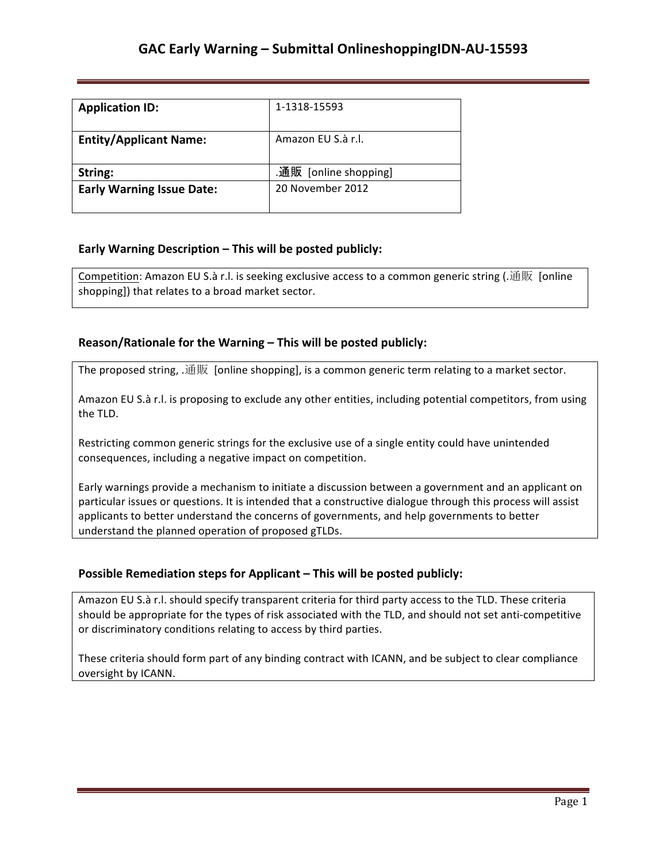| <b>Application ID:</b>           | 1-1318-15593          |
|----------------------------------|-----------------------|
| <b>Entity/Applicant Name:</b>    | Amazon FU S.à r.l.    |
| String:                          | .通販 [online shopping] |
| <b>Early Warning Issue Date:</b> | 20 November 2012      |

## **Early Warning Description – This will be posted publicly:**

Competition: Amazon EU S.à r.l. is seeking exclusive access to a common generic string (.通販 [online shopping]) that relates to a broad market sector.

## Reason/Rationale for the Warning - This will be posted publicly:

The proposed string, .通販 [online shopping], is a common generic term relating to a market sector.

Amazon EU S.à r.l. is proposing to exclude any other entities, including potential competitors, from using the TLD.

Restricting common generic strings for the exclusive use of a single entity could have unintended consequences, including a negative impact on competition.

Early warnings provide a mechanism to initiate a discussion between a government and an applicant on particular issues or questions. It is intended that a constructive dialogue through this process will assist applicants to better understand the concerns of governments, and help governments to better understand the planned operation of proposed gTLDs.

### **Possible Remediation steps for Applicant – This will be posted publicly:**

Amazon EU S.à r.l. should specify transparent criteria for third party access to the TLD. These criteria should be appropriate for the types of risk associated with the TLD, and should not set anti-competitive or discriminatory conditions relating to access by third parties.

These criteria should form part of any binding contract with ICANN, and be subject to clear compliance oversight by ICANN.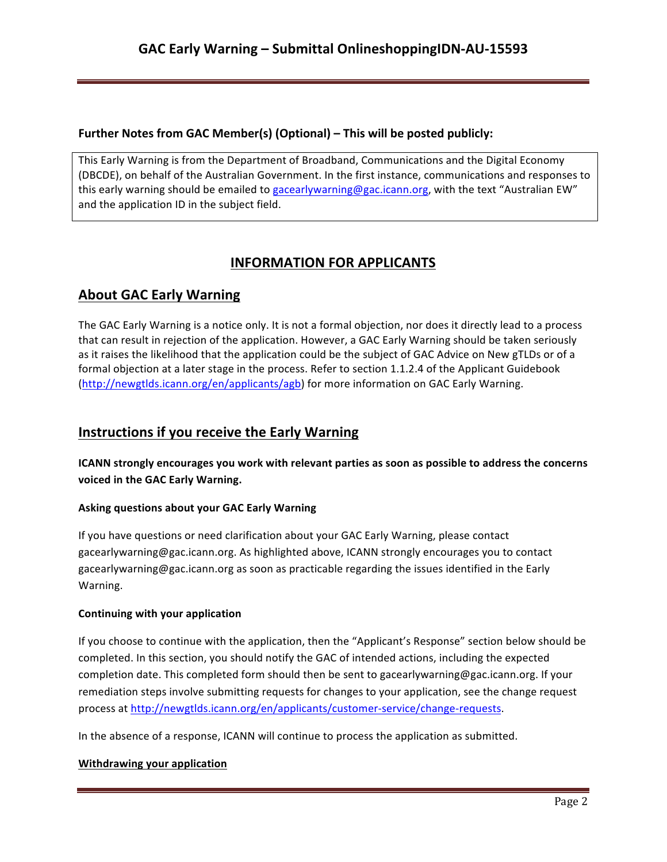## **Further Notes from GAC Member(s) (Optional) – This will be posted publicly:**

This Early Warning is from the Department of Broadband, Communications and the Digital Economy (DBCDE), on behalf of the Australian Government. In the first instance, communications and responses to this early warning should be emailed to gacearlywarning@gac.icann.org, with the text "Australian EW" and the application ID in the subject field.

# **INFORMATION FOR APPLICANTS**

# **About GAC Early Warning**

The GAC Early Warning is a notice only. It is not a formal objection, nor does it directly lead to a process that can result in rejection of the application. However, a GAC Early Warning should be taken seriously as it raises the likelihood that the application could be the subject of GAC Advice on New gTLDs or of a formal objection at a later stage in the process. Refer to section 1.1.2.4 of the Applicant Guidebook (http://newgtlds.icann.org/en/applicants/agb) for more information on GAC Early Warning.

## **Instructions if you receive the Early Warning**

**ICANN** strongly encourages you work with relevant parties as soon as possible to address the concerns voiced in the GAC Early Warning.

## **Asking questions about your GAC Early Warning**

If you have questions or need clarification about your GAC Early Warning, please contact gacearlywarning@gac.icann.org. As highlighted above, ICANN strongly encourages you to contact gacearlywarning@gac.icann.org as soon as practicable regarding the issues identified in the Early Warning. 

### **Continuing with your application**

If you choose to continue with the application, then the "Applicant's Response" section below should be completed. In this section, you should notify the GAC of intended actions, including the expected completion date. This completed form should then be sent to gacearlywarning@gac.icann.org. If your remediation steps involve submitting requests for changes to your application, see the change request process at http://newgtlds.icann.org/en/applicants/customer-service/change-requests.

In the absence of a response, ICANN will continue to process the application as submitted.

### **Withdrawing your application**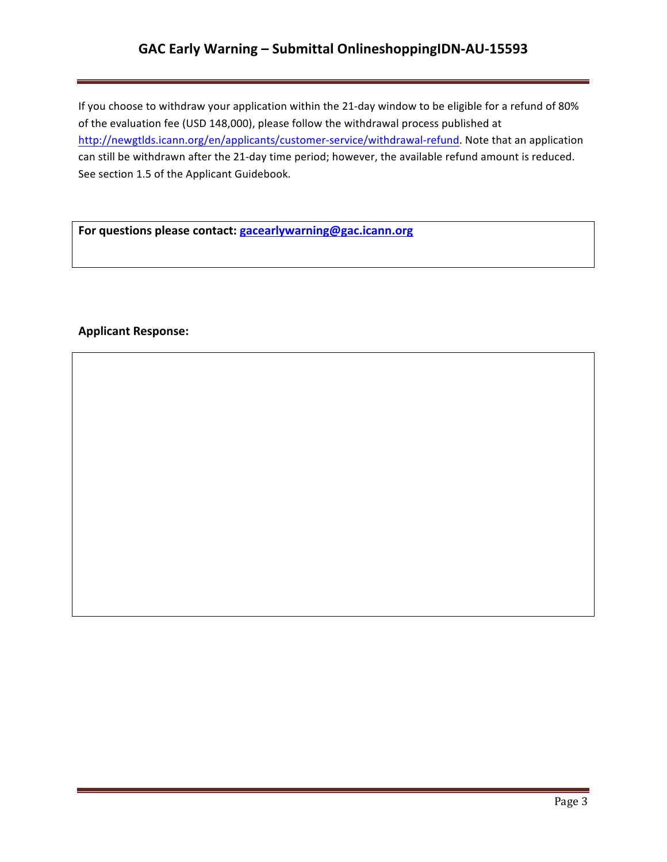## GAC Early Warning - Submittal OnlineshoppingIDN-AU-15593

If you choose to withdraw your application within the 21-day window to be eligible for a refund of 80% of the evaluation fee (USD 148,000), please follow the withdrawal process published at http://newgtlds.icann.org/en/applicants/customer-service/withdrawal-refund. Note that an application can still be withdrawn after the 21-day time period; however, the available refund amount is reduced. See section 1.5 of the Applicant Guidebook.

For questions please contact: **gacearlywarning@gac.icann.org** 

### **Applicant Response:**